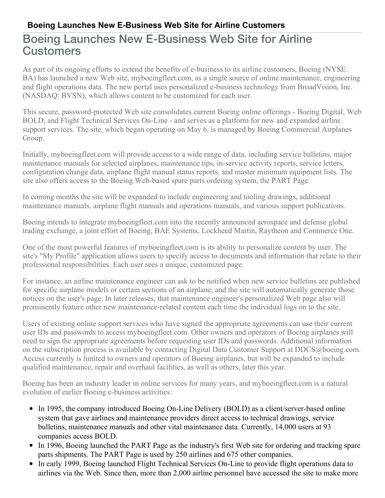## Boeing Launches New E-Business Web Site for Airline **Customers**

As part of its ongoing efforts to extend the benefits of e-business to its airline customers, Boeing (NYSE: BA) has launched a new Web site, myboeingfleet.com, as a single source of online maintenance, engineering and flight operations data. The new portal uses personalized e-business technology from BroadVision, Inc. (NASDAQ: BVSN), which allows content to be customized for each user.

This secure, password-protected Web site consolidates current Boeing online offerings - Boeing Digital, Web BOLD, and Flight Technical Services On-Line - and serves as a platform for new and expanded airline support services. The site, which began operating on May 6, is managed by Boeing Commercial Airplanes Group.

Initially, myboeingfleet.com will provide access to a wide range of data, including service bulletins, major maintenance manuals for selected airplanes, maintenance tips, in-service activity reports, service letters, configuration change data, airplane flight manual status reports, and master minimum equipment lists. The site also offers access to the Boeing Web-based spare parts ordering system, the PART Page.

In coming months the site will be expanded to include engineering and tooling drawings, additional maintenance manuals, airplane flight manuals and operations manuals, and various support publications.

Boeing intends to integrate myboeingfleet.com into the recently announced aerospace and defense global trading exchange, a joint effort of Boeing, BAE Systems, Lockheed Martin, Raytheon and Commerce One.

One of the most powerful features of myboeingfleet.com is its ability to personalize content by user. The site's "My Profile" application allows users to specify access to documents and information that relate to their professional responsibilities. Each user sees a unique, customized page.

For instance, an airline maintenance engineer can ask to be notified when new service bulletins are published for specific airplane models or certain sections of an airplane, and the site will automatically generate those notices on the user's page. In later releases, that maintenance engineer's personalized Web page also will prominently feature other new maintenance-related content each time the individual logs on to the site.

Users of existing online support services who have signed the appropriate agreements can use their current user IDs and passwords to access myboeingfleet.com. Other owners and operators of Boeing airplanes will need to sign the appropriate agreements before requesting user IDs and passwords. Additional information on the subscription process is available by contacting Digital Data Customer Support at DDCS@boeing.com. Access currently is limited to owners and operators of Boeing airplanes, but will be expanded to include qualified maintenance, repair and overhaul facilities, as well as others, later this year.

Boeing has been an industry leader in online services for many years, and myboeingfleet.com is a natural evolution of earlier Boeing e-business activities:

- In 1995, the company introduced Boeing On-Line Delivery (BOLD) as a client/server-based online system that gave airlines and maintenance providers direct access to technical drawings, service bulletins, maintenance manuals and other vital maintenance data. Currently, 14,000 users at 93 companies access BOLD.
- In 1996, Boeing launched the PART Page as the industry's first Web site for ordering and tracking spare parts shipments. The PART Page is used by 250 airlines and 675 other companies.
- In early 1999, Boeing launched Flight Technical Services On-Line to provide flight operations data to airlines via the Web. Since then, more than 2,000 airline personnel have accessed the site to make more